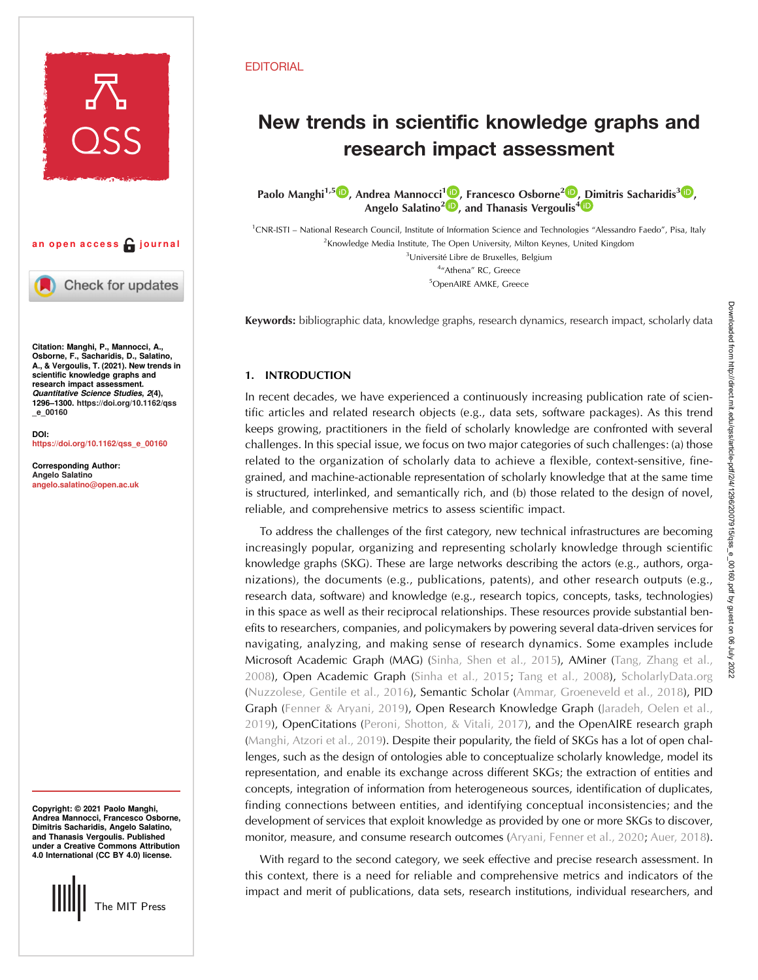

an open access  $\bigcap$  journal

Check for updates

Citation: Manghi, P., Mannocci, A., Osborne, F., Sacharidis, D., Salatino, A., & Vergoulis, T. (2021). New trends in scientific knowledge graphs and research impact assessment. Quantitative Science Studies, 2(4), 1296–1300. [https://doi.org/10.1162/qss](https://doi.org/10.1162/qss_e_00160) [\\_e\\_00160](https://doi.org/10.1162/qss_e_00160)

DOI: [https://doi.org/10.1162/qss\\_e\\_00160](https://doi.org/10.1162/qss_e_00160)

Corresponding Author: Angelo Salatino [angelo.salatino@open.ac.uk](mailto:angelo.salatino@open.ac.uk)

Copyright: © 2021 Paolo Manghi, Andrea Mannocci, Francesco Osborne, Dimitris Sacharidis, Angelo Salatino, and Thanasis Vergoulis. Published under a Creative Commons Attribution 4.0 International (CC BY 4.0) license.



#### **EDITORIAL**

# New trends in scientific knowledge graphs and research impact assessment

Paolo Manghi<sup>1,[5](https://orcid.org/0000-0001-7291-3210)</sup><sup>10</sup>, Andrea Mannocci<sup>1</sup><sup>10</sup>, Francesco Osborne<sup>[2](https://orcid.org/0000-0001-6557-3131)</sup><sup>10</sup>[, D](https://orcid.org/0000-0003-0555-4128)imitris Sacharidis<sup>3</sup><sup>10</sup>[,](https://orcid.org/0000-0001-5022-1483) Angelo Salatino<sup>2</sup><sup>(1)</sup>, and Thanasis Vergoulis<sup>4</sup><sup>(1)</sup>

<sup>1</sup> CNR-ISTI – National Research Council, Institute of Information Science and Technologies "Alessandro Faedo", Pisa, Italy <sup>2</sup> Knowledge Media Institute, The Open University, Milton Keynes, United Kingdom <sup>3</sup>Université Libre de Bruxelles, Belgium 4 "Athena" RC, Greece

<sup>5</sup>OpenAIRE AMKE, Greece

Keywords: bibliographic data, knowledge graphs, research dynamics, research impact, scholarly data

## 1. INTRODUCTION

In recent decades, we have experienced a continuously increasing publication rate of scientific articles and related research objects (e.g., data sets, software packages). As this trend keeps growing, practitioners in the field of scholarly knowledge are confronted with several challenges. In this special issue, we focus on two major categories of such challenges: (a) those related to the organization of scholarly data to achieve a flexible, context-sensitive, finegrained, and machine-actionable representation of scholarly knowledge that at the same time is structured, interlinked, and semantically rich, and (b) those related to the design of novel, reliable, and comprehensive metrics to assess scientific impact.

To address the challenges of the first category, new technical infrastructures are becoming increasingly popular, organizing and representing scholarly knowledge through scientific knowledge graphs (SKG). These are large networks describing the actors (e.g., authors, organizations), the documents (e.g., publications, patents), and other research outputs (e.g., research data, software) and knowledge (e.g., research topics, concepts, tasks, technologies) in this space as well as their reciprocal relationships. These resources provide substantial benefits to researchers, companies, and policymakers by powering several data-driven services for navigating, analyzing, and making sense of research dynamics. Some examples include Microsoft Academic Graph (MAG) [\(Sinha, Shen et al., 2015](#page-4-0)), AMiner [\(Tang, Zhang et al.,](#page-4-0) [2008](#page-4-0)), Open Academic Graph ([Sinha et al., 2015;](#page-4-0) [Tang et al., 2008\)](#page-4-0), [ScholarlyData.org](http://ScholarlyData.org) ([Nuzzolese, Gentile et al., 2016](#page-4-0)), Semantic Scholar [\(Ammar, Groeneveld et al., 2018](#page-3-0)), PID Graph [\(Fenner & Aryani, 2019](#page-4-0)), Open Research Knowledge Graph ([Jaradeh, Oelen et al.,](#page-4-0) [2019](#page-4-0)), OpenCitations [\(Peroni, Shotton, & Vitali, 2017\)](#page-4-0), and the OpenAIRE research graph ([Manghi, Atzori et al., 2019](#page-4-0)). Despite their popularity, the field of SKGs has a lot of open challenges, such as the design of ontologies able to conceptualize scholarly knowledge, model its representation, and enable its exchange across different SKGs; the extraction of entities and concepts, integration of information from heterogeneous sources, identification of duplicates, finding connections between entities, and identifying conceptual inconsistencies; and the development of services that exploit knowledge as provided by one or more SKGs to discover, monitor, measure, and consume research outcomes [\(Aryani, Fenner et al., 2020](#page-3-0); [Auer, 2018\)](#page-3-0).

With regard to the second category, we seek effective and precise research assessment. In this context, there is a need for reliable and comprehensive metrics and indicators of the impact and merit of publications, data sets, research institutions, individual researchers, and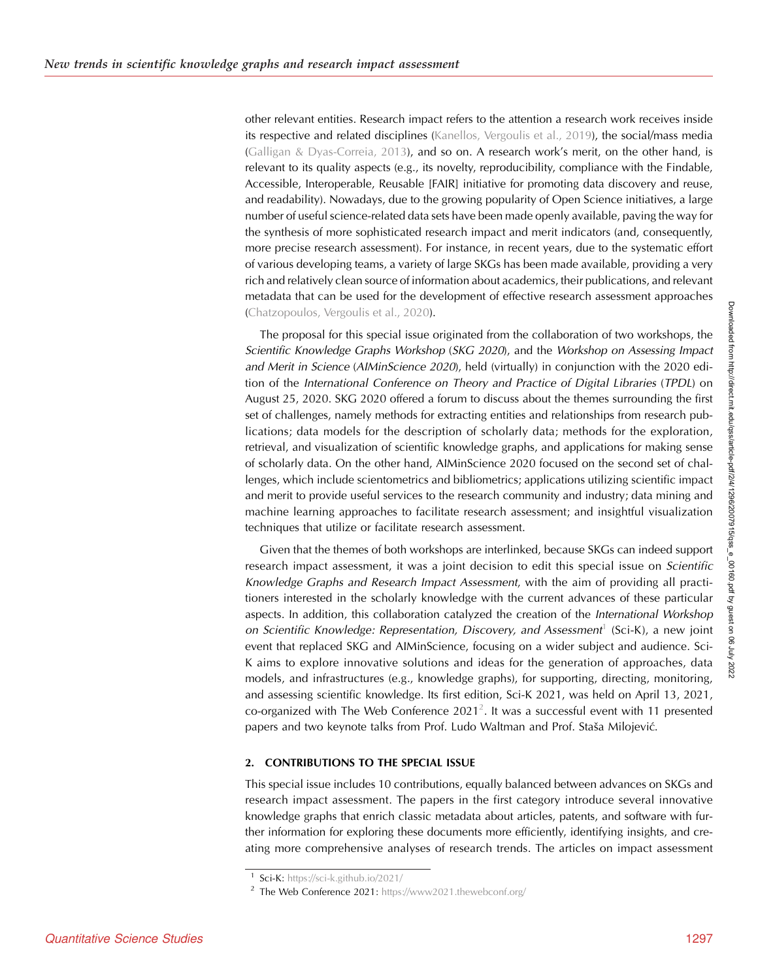other relevant entities. Research impact refers to the attention a research work receives inside its respective and related disciplines [\(Kanellos, Vergoulis et al., 2019](#page-4-0)), the social/mass media ([Galligan & Dyas-Correia, 2013\)](#page-4-0), and so on. A research work's merit, on the other hand, is relevant to its quality aspects (e.g., its novelty, reproducibility, compliance with the Findable, Accessible, Interoperable, Reusable [FAIR] initiative for promoting data discovery and reuse, and readability). Nowadays, due to the growing popularity of Open Science initiatives, a large number of useful science-related data sets have been made openly available, paving the way for the synthesis of more sophisticated research impact and merit indicators (and, consequently, more precise research assessment). For instance, in recent years, due to the systematic effort of various developing teams, a variety of large SKGs has been made available, providing a very rich and relatively clean source of information about academics, their publications, and relevant metadata that can be used for the development of effective research assessment approaches ([Chatzopoulos, Vergoulis et al., 2020\)](#page-4-0).

The proposal for this special issue originated from the collaboration of two workshops, the Scientific Knowledge Graphs Workshop (SKG 2020), and the Workshop on Assessing Impact and Merit in Science (AIMinScience 2020), held (virtually) in conjunction with the 2020 edition of the International Conference on Theory and Practice of Digital Libraries (TPDL) on August 25, 2020. SKG 2020 offered a forum to discuss about the themes surrounding the first set of challenges, namely methods for extracting entities and relationships from research publications; data models for the description of scholarly data; methods for the exploration, retrieval, and visualization of scientific knowledge graphs, and applications for making sense of scholarly data. On the other hand, AIMinScience 2020 focused on the second set of challenges, which include scientometrics and bibliometrics; applications utilizing scientific impact and merit to provide useful services to the research community and industry; data mining and machine learning approaches to facilitate research assessment; and insightful visualization techniques that utilize or facilitate research assessment.

Given that the themes of both workshops are interlinked, because SKGs can indeed support research impact assessment, it was a joint decision to edit this special issue on Scientific Knowledge Graphs and Research Impact Assessment, with the aim of providing all practitioners interested in the scholarly knowledge with the current advances of these particular aspects. In addition, this collaboration catalyzed the creation of the International Workshop on Scientific Knowledge: Representation, Discovery, and Assessment<sup>1</sup> (Sci-K), a new joint event that replaced SKG and AIMinScience, focusing on a wider subject and audience. Sci-K aims to explore innovative solutions and ideas for the generation of approaches, data models, and infrastructures (e.g., knowledge graphs), for supporting, directing, monitoring, and assessing scientific knowledge. Its first edition, Sci-K 2021, was held on April 13, 2021, co-organized with The Web Conference 2021<sup>2</sup>. It was a successful event with 11 presented papers and two keynote talks from Prof. Ludo Waltman and Prof. Staša Milojević.

### 2. CONTRIBUTIONS TO THE SPECIAL ISSUE

This special issue includes 10 contributions, equally balanced between advances on SKGs and research impact assessment. The papers in the first category introduce several innovative knowledge graphs that enrich classic metadata about articles, patents, and software with further information for exploring these documents more efficiently, identifying insights, and creating more comprehensive analyses of research trends. The articles on impact assessment

<sup>1</sup> Sci-K: <https://sci-k.github.io/2021/>

<sup>&</sup>lt;sup>2</sup> The Web Conference 2021: <https://www2021.thewebconf.org/>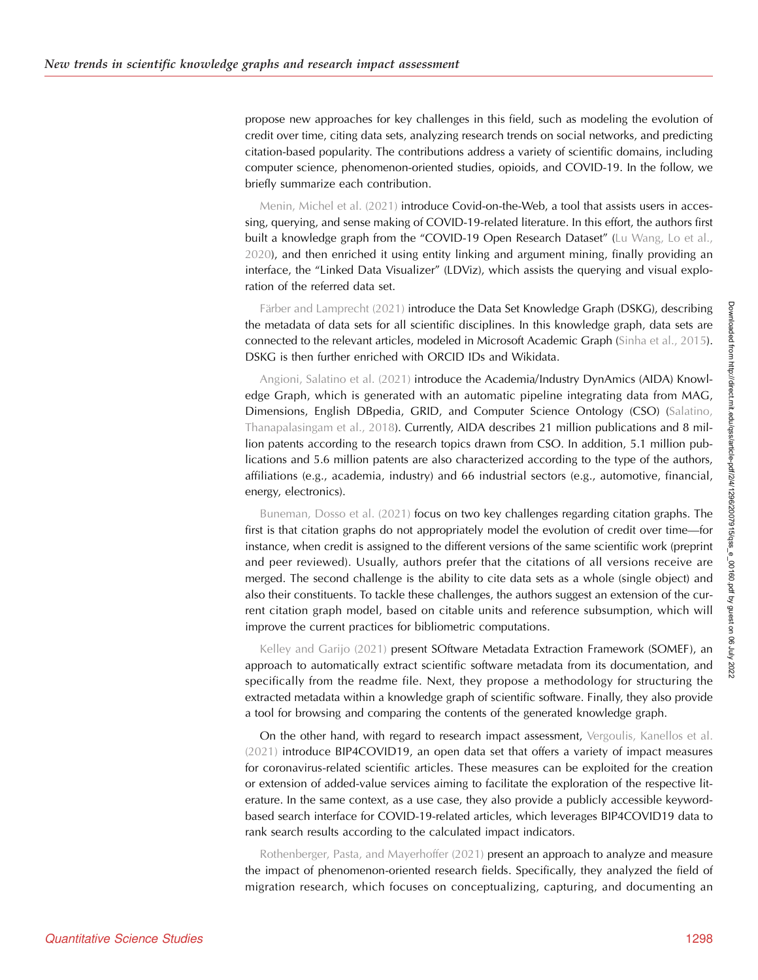propose new approaches for key challenges in this field, such as modeling the evolution of credit over time, citing data sets, analyzing research trends on social networks, and predicting citation-based popularity. The contributions address a variety of scientific domains, including computer science, phenomenon-oriented studies, opioids, and COVID-19. In the follow, we briefly summarize each contribution.

[Menin, Michel et al. \(2021\)](#page-4-0) introduce Covid-on-the-Web, a tool that assists users in accessing, querying, and sense making of COVID-19-related literature. In this effort, the authors first built a knowledge graph from the "COVID-19 Open Research Dataset" [\(Lu Wang, Lo et al.,](#page-4-0) [2020](#page-4-0)), and then enriched it using entity linking and argument mining, finally providing an interface, the "Linked Data Visualizer" (LDViz), which assists the querying and visual exploration of the referred data set.

[Färber and Lamprecht \(2021\)](#page-4-0) introduce the Data Set Knowledge Graph (DSKG), describing the metadata of data sets for all scientific disciplines. In this knowledge graph, data sets are connected to the relevant articles, modeled in Microsoft Academic Graph [\(Sinha et al., 2015\)](#page-4-0). DSKG is then further enriched with ORCID IDs and Wikidata.

[Angioni, Salatino et al. \(2021\)](#page-3-0) introduce the Academia/Industry DynAmics (AIDA) Knowledge Graph, which is generated with an automatic pipeline integrating data from MAG, Dimensions, English DBpedia, GRID, and Computer Science Ontology (CSO) ([Salatino,](#page-4-0) [Thanapalasingam et al., 2018\)](#page-4-0). Currently, AIDA describes 21 million publications and 8 million patents according to the research topics drawn from CSO. In addition, 5.1 million publications and 5.6 million patents are also characterized according to the type of the authors, affiliations (e.g., academia, industry) and 66 industrial sectors (e.g., automotive, financial, energy, electronics).

[Buneman, Dosso et al. \(2021\)](#page-4-0) focus on two key challenges regarding citation graphs. The first is that citation graphs do not appropriately model the evolution of credit over time—for instance, when credit is assigned to the different versions of the same scientific work (preprint and peer reviewed). Usually, authors prefer that the citations of all versions receive are merged. The second challenge is the ability to cite data sets as a whole (single object) and also their constituents. To tackle these challenges, the authors suggest an extension of the current citation graph model, based on citable units and reference subsumption, which will improve the current practices for bibliometric computations.

[Kelley and Garijo \(2021\)](#page-4-0) present SOftware Metadata Extraction Framework (SOMEF), an approach to automatically extract scientific software metadata from its documentation, and specifically from the readme file. Next, they propose a methodology for structuring the extracted metadata within a knowledge graph of scientific software. Finally, they also provide a tool for browsing and comparing the contents of the generated knowledge graph.

On the other hand, with regard to research impact assessment, [Vergoulis, Kanellos et al.](#page-4-0) [\(2021\)](#page-4-0) introduce BIP4COVID19, an open data set that offers a variety of impact measures for coronavirus-related scientific articles. These measures can be exploited for the creation or extension of added-value services aiming to facilitate the exploration of the respective literature. In the same context, as a use case, they also provide a publicly accessible keywordbased search interface for COVID-19-related articles, which leverages BIP4COVID19 data to rank search results according to the calculated impact indicators.

[Rothenberger, Pasta, and Mayerhoffer \(2021\)](#page-4-0) present an approach to analyze and measure the impact of phenomenon-oriented research fields. Specifically, they analyzed the field of migration research, which focuses on conceptualizing, capturing, and documenting an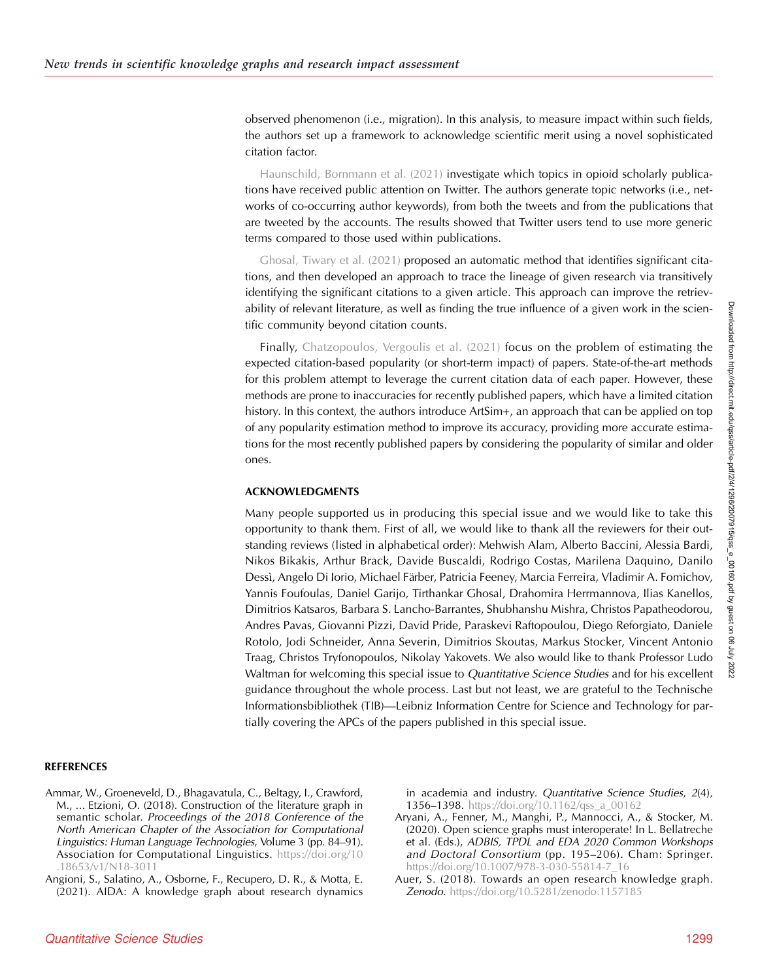<span id="page-3-0"></span>observed phenomenon (i.e., migration). In this analysis, to measure impact within such fields, the authors set up a framework to acknowledge scientific merit using a novel sophisticated citation factor.

[Haunschild, Bornmann et al. \(2021\)](#page-4-0) investigate which topics in opioid scholarly publications have received public attention on Twitter. The authors generate topic networks (i.e., networks of co-occurring author keywords), from both the tweets and from the publications that are tweeted by the accounts. The results showed that Twitter users tend to use more generic terms compared to those used within publications.

[Ghosal, Tiwary et al. \(2021\)](#page-4-0) proposed an automatic method that identifies significant citations, and then developed an approach to trace the lineage of given research via transitively identifying the significant citations to a given article. This approach can improve the retrievability of relevant literature, as well as finding the true influence of a given work in the scientific community beyond citation counts.

Finally, [Chatzopoulos, Vergoulis et al. \(2021\)](#page-4-0) focus on the problem of estimating the expected citation-based popularity (or short-term impact) of papers. State-of-the-art methods for this problem attempt to leverage the current citation data of each paper. However, these methods are prone to inaccuracies for recently published papers, which have a limited citation history. In this context, the authors introduce ArtSim+, an approach that can be applied on top of any popularity estimation method to improve its accuracy, providing more accurate estimations for the most recently published papers by considering the popularity of similar and older ones.

#### ACKNOWLEDGMENTS

Many people supported us in producing this special issue and we would like to take this opportunity to thank them. First of all, we would like to thank all the reviewers for their outstanding reviews (listed in alphabetical order): Mehwish Alam, Alberto Baccini, Alessia Bardi, Nikos Bikakis, Arthur Brack, Davide Buscaldi, Rodrigo Costas, Marilena Daquino, Danilo Dessì, Angelo Di Iorio, Michael Färber, Patricia Feeney, Marcia Ferreira, Vladimir A. Fomichov, Yannis Foufoulas, Daniel Garijo, Tirthankar Ghosal, Drahomira Herrmannova, Ilias Kanellos, Dimitrios Katsaros, Barbara S. Lancho-Barrantes, Shubhanshu Mishra, Christos Papatheodorou, Andres Pavas, Giovanni Pizzi, David Pride, Paraskevi Raftopoulou, Diego Reforgiato, Daniele Rotolo, Jodi Schneider, Anna Severin, Dimitrios Skoutas, Markus Stocker, Vincent Antonio Traag, Christos Tryfonopoulos, Nikolay Yakovets. We also would like to thank Professor Ludo Waltman for welcoming this special issue to Quantitative Science Studies and for his excellent guidance throughout the whole process. Last but not least, we are grateful to the Technische Informationsbibliothek (TIB)—Leibniz Information Centre for Science and Technology for partially covering the APCs of the papers published in this special issue.

#### REFERENCES

- Ammar, W., Groeneveld, D., Bhagavatula, C., Beltagy, I., Crawford, M., … Etzioni, O. (2018). Construction of the literature graph in semantic scholar. Proceedings of the 2018 Conference of the North American Chapter of the Association for Computational Linguistics: Human Language Technologies, Volume 3 (pp. 84–91). Association for Computational Linguistics. [https://doi.org/10](https://doi.org/10.18653/v1/N18-3011) [.18653/v1/N18-3011](https://doi.org/10.18653/v1/N18-3011)
- Angioni, S., Salatino, A., Osborne, F., Recupero, D. R., & Motta, E. (2021). AIDA: A knowledge graph about research dynamics

in academia and industry. Quantitative Science Studies, 2(4), 1356–1398. [https://doi.org/10.1162/qss\\_a\\_00162](https://doi.org/10.1162/qss_a_00162)

Aryani, A., Fenner, M., Manghi, P., Mannocci, A., & Stocker, M. (2020). Open science graphs must interoperate! In L. Bellatreche et al. (Eds.), ADBIS, TPDL and EDA 2020 Common Workshops and Doctoral Consortium (pp. 195–206). Cham: Springer. [https://doi.org/10.1007/978-3-030-55814-7\\_16](https://doi.org/10.1007/978-3-030-55814-7_16)

Auer, S. (2018). Towards an open research knowledge graph. Zenodo. <https://doi.org/10.5281/zenodo.1157185>